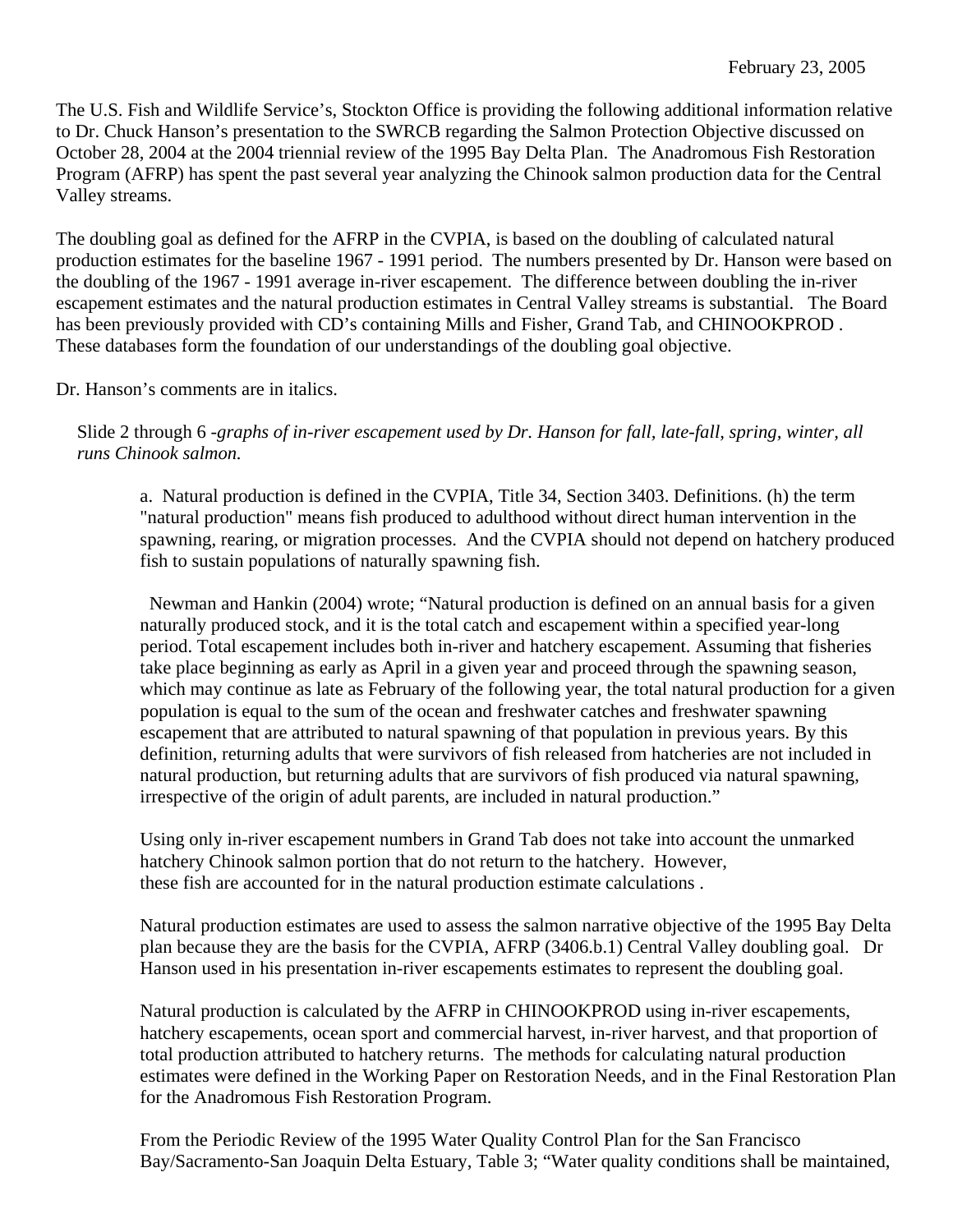The U.S. Fish and Wildlife Service's, Stockton Office is providing the following additional information relative to Dr. Chuck Hanson's presentation to the SWRCB regarding the Salmon Protection Objective discussed on October 28, 2004 at the 2004 triennial review of the 1995 Bay Delta Plan. The Anadromous Fish Restoration Program (AFRP) has spent the past several year analyzing the Chinook salmon production data for the Central Valley streams.

The doubling goal as defined for the AFRP in the CVPIA, is based on the doubling of calculated natural production estimates for the baseline 1967 - 1991 period. The numbers presented by Dr. Hanson were based on the doubling of the 1967 - 1991 average in-river escapement. The difference between doubling the in-river escapement estimates and the natural production estimates in Central Valley streams is substantial. The Board has been previously provided with CD's containing Mills and Fisher, Grand Tab, and CHINOOKPROD . These databases form the foundation of our understandings of the doubling goal objective.

Dr. Hanson's comments are in italics.

Slide 2 through 6 -*graphs of in-river escapement used by Dr. Hanson for fall, late-fall, spring, winter, all runs Chinook salmon.* 

a. Natural production is defined in the CVPIA, Title 34, Section 3403. Definitions. (h) the term "natural production" means fish produced to adulthood without direct human intervention in the spawning, rearing, or migration processes. And the CVPIA should not depend on hatchery produced fish to sustain populations of naturally spawning fish.

 Newman and Hankin (2004) wrote; "Natural production is defined on an annual basis for a given naturally produced stock, and it is the total catch and escapement within a specified year-long period. Total escapement includes both in-river and hatchery escapement. Assuming that fisheries take place beginning as early as April in a given year and proceed through the spawning season, which may continue as late as February of the following year, the total natural production for a given population is equal to the sum of the ocean and freshwater catches and freshwater spawning escapement that are attributed to natural spawning of that population in previous years. By this definition, returning adults that were survivors of fish released from hatcheries are not included in natural production, but returning adults that are survivors of fish produced via natural spawning, irrespective of the origin of adult parents, are included in natural production."

Using only in-river escapement numbers in Grand Tab does not take into account the unmarked hatchery Chinook salmon portion that do not return to the hatchery. However, these fish are accounted for in the natural production estimate calculations .

Natural production estimates are used to assess the salmon narrative objective of the 1995 Bay Delta plan because they are the basis for the CVPIA, AFRP (3406.b.1) Central Valley doubling goal. Dr Hanson used in his presentation in-river escapements estimates to represent the doubling goal.

Natural production is calculated by the AFRP in CHINOOKPROD using in-river escapements, hatchery escapements, ocean sport and commercial harvest, in-river harvest, and that proportion of total production attributed to hatchery returns. The methods for calculating natural production estimates were defined in the Working Paper on Restoration Needs, and in the Final Restoration Plan for the Anadromous Fish Restoration Program.

From the Periodic Review of the 1995 Water Quality Control Plan for the San Francisco Bay/Sacramento-San Joaquin Delta Estuary, Table 3; "Water quality conditions shall be maintained,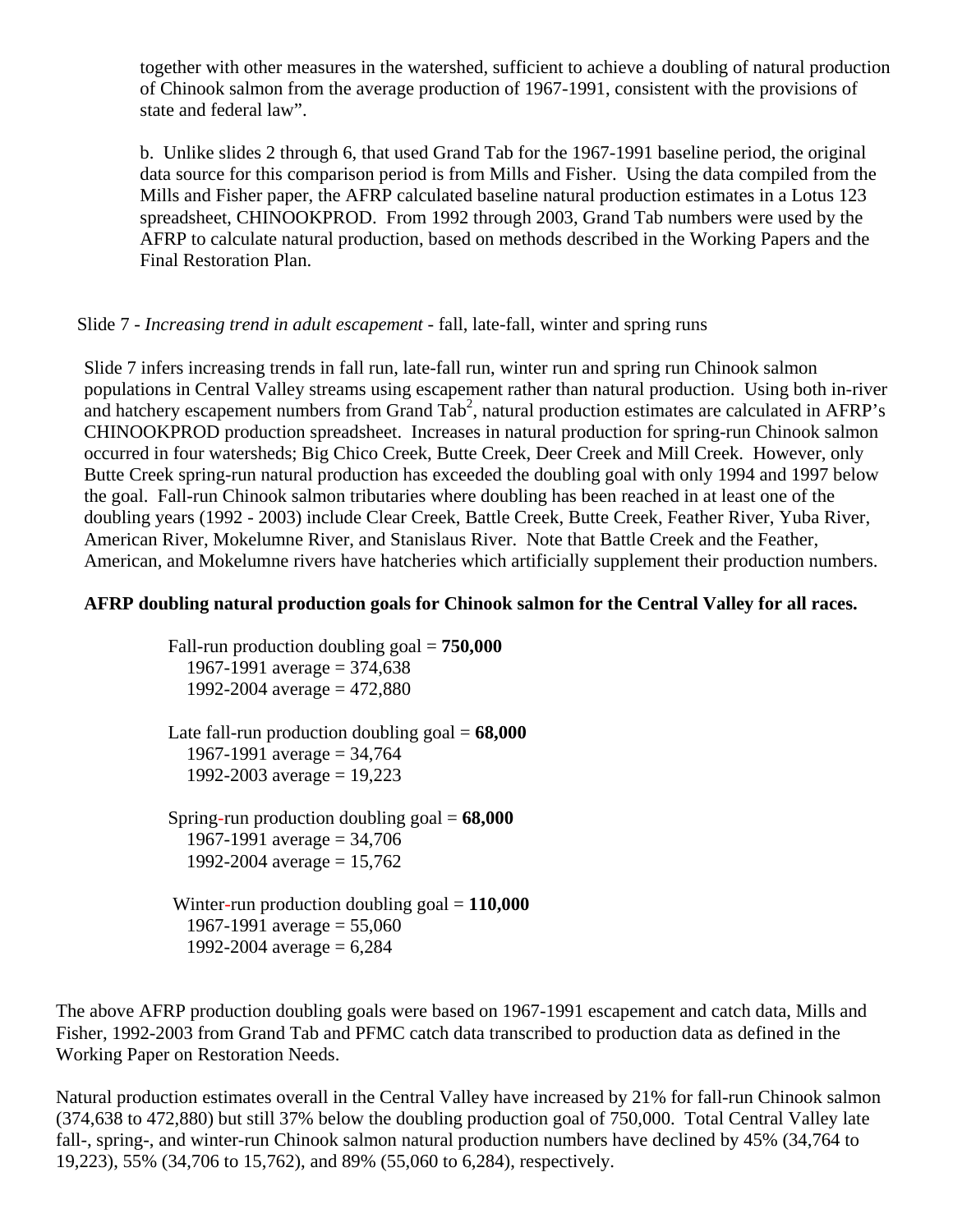together with other measures in the watershed, sufficient to achieve a doubling of natural production of Chinook salmon from the average production of 1967-1991, consistent with the provisions of state and federal law".

b. Unlike slides 2 through 6, that used Grand Tab for the 1967-1991 baseline period, the original data source for this comparison period is from Mills and Fisher. Using the data compiled from the Mills and Fisher paper, the AFRP calculated baseline natural production estimates in a Lotus 123 spreadsheet, CHINOOKPROD. From 1992 through 2003, Grand Tab numbers were used by the AFRP to calculate natural production, based on methods described in the Working Papers and the Final Restoration Plan.

# Slide 7 - *Increasing trend in adult escapement -* fall, late-fall, winter and spring runs

Slide 7 infers increasing trends in fall run, late-fall run, winter run and spring run Chinook salmon populations in Central Valley streams using escapement rather than natural production. Using both in-river and hatchery escapement numbers from Grand Tab<sup>2</sup>, natural production estimates are calculated in AFRP's CHINOOKPROD production spreadsheet. Increases in natural production for spring-run Chinook salmon occurred in four watersheds; Big Chico Creek, Butte Creek, Deer Creek and Mill Creek. However, only Butte Creek spring-run natural production has exceeded the doubling goal with only 1994 and 1997 below the goal. Fall-run Chinook salmon tributaries where doubling has been reached in at least one of the doubling years (1992 - 2003) include Clear Creek, Battle Creek, Butte Creek, Feather River, Yuba River, American River, Mokelumne River, and Stanislaus River. Note that Battle Creek and the Feather, American, and Mokelumne rivers have hatcheries which artificially supplement their production numbers.

### **AFRP doubling natural production goals for Chinook salmon for the Central Valley for all races.**

 Fall-run production doubling goal = **750,000** 1967-1991 average =  $374,638$ 1992-2004 average =  $472,880$ 

 Late fall-run production doubling goal = **68,000** 1967-1991 average =  $34,764$ 1992-2003 average =  $19,223$ 

 Spring-run production doubling goal = **68,000**  1967-1991 average =  $34,706$ 1992-2004 average =  $15,762$ 

 Winter-run production doubling goal = **110,000** 1967-1991 average =  $55,060$ 1992-2004 average  $= 6,284$ 

The above AFRP production doubling goals were based on 1967-1991 escapement and catch data, Mills and Fisher, 1992-2003 from Grand Tab and PFMC catch data transcribed to production data as defined in the Working Paper on Restoration Needs.

Natural production estimates overall in the Central Valley have increased by 21% for fall-run Chinook salmon (374,638 to 472,880) but still 37% below the doubling production goal of 750,000. Total Central Valley late fall-, spring-, and winter-run Chinook salmon natural production numbers have declined by 45% (34,764 to 19,223), 55% (34,706 to 15,762), and 89% (55,060 to 6,284), respectively.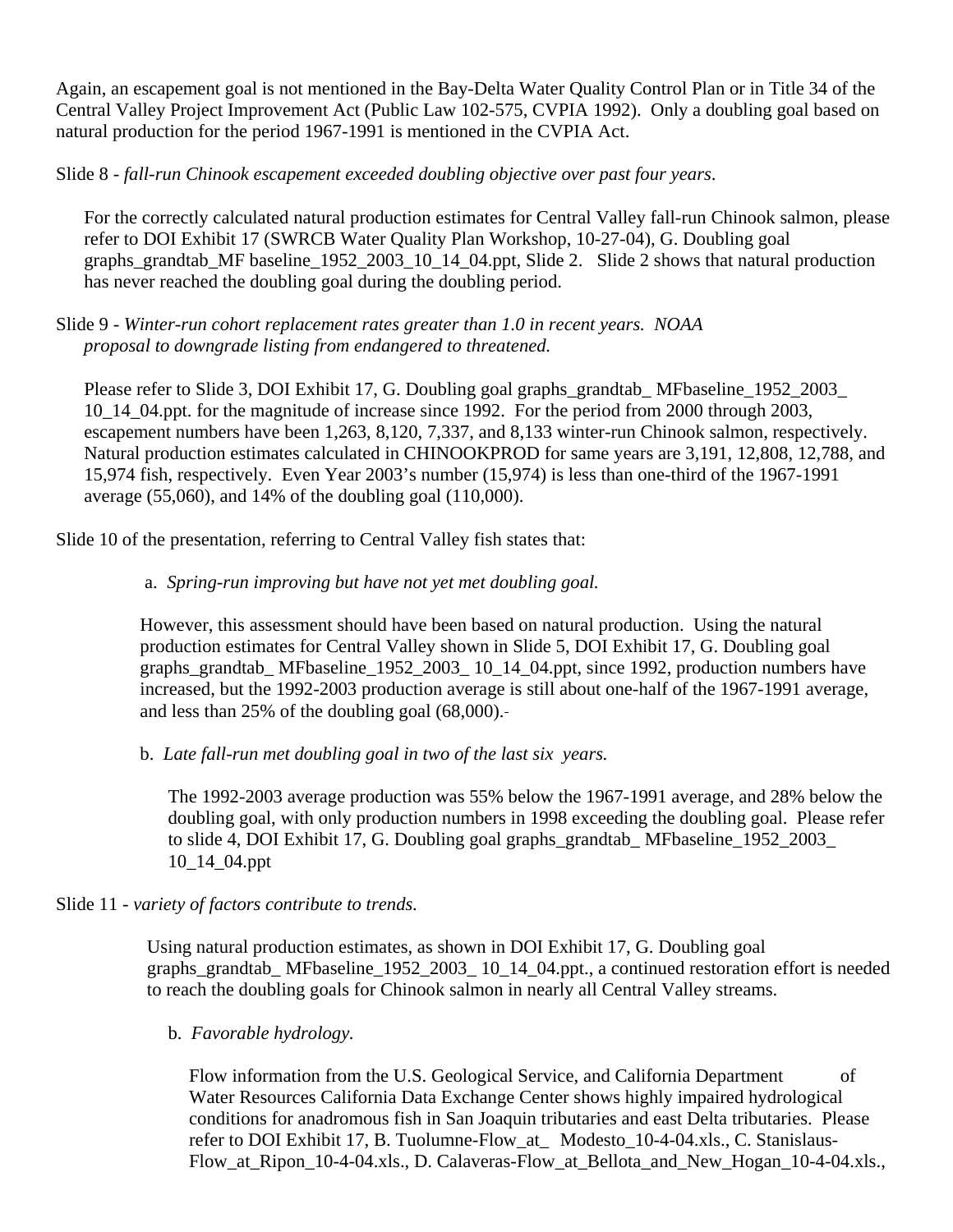Again, an escapement goal is not mentioned in the Bay-Delta Water Quality Control Plan or in Title 34 of the Central Valley Project Improvement Act (Public Law 102-575, CVPIA 1992). Only a doubling goal based on natural production for the period 1967-1991 is mentioned in the CVPIA Act.

Slide 8 - *fall-run Chinook escapement exceeded doubling objective over past four years*.

For the correctly calculated natural production estimates for Central Valley fall-run Chinook salmon, please refer to DOI Exhibit 17 (SWRCB Water Quality Plan Workshop, 10-27-04), G. Doubling goal graphs\_grandtab\_MF baseline\_1952\_2003\_10\_14\_04.ppt, Slide 2. Slide 2 shows that natural production has never reached the doubling goal during the doubling period.

Slide 9 - *Winter-run cohort replacement rates greater than 1.0 in recent years. NOAA proposal to downgrade listing from endangered to threatened.* 

Please refer to Slide 3, DOI Exhibit 17, G. Doubling goal graphs\_grandtab\_ MFbaseline\_1952\_2003\_ 10\_14\_04.ppt. for the magnitude of increase since 1992. For the period from 2000 through 2003, escapement numbers have been 1,263, 8,120, 7,337, and 8,133 winter-run Chinook salmon, respectively. Natural production estimates calculated in CHINOOKPROD for same years are 3,191, 12,808, 12,788, and 15,974 fish, respectively. Even Year 2003's number (15,974) is less than one-third of the 1967-1991 average (55,060), and 14% of the doubling goal (110,000).

Slide 10 of the presentation, referring to Central Valley fish states that:

### a. *Spring-run improving but have not yet met doubling goal.*

However, this assessment should have been based on natural production. Using the natural production estimates for Central Valley shown in Slide 5, DOI Exhibit 17, G. Doubling goal graphs grandtab MFbaseline 1952 2003 10 14 04.ppt, since 1992, production numbers have increased, but the 1992-2003 production average is still about one-half of the 1967-1991 average, and less than 25% of the doubling goal (68,000).

b. *Late fall-run met doubling goal in two of the last six years.* 

 The 1992-2003 average production was 55% below the 1967-1991 average, and 28% below the doubling goal, with only production numbers in 1998 exceeding the doubling goal. Please refer to slide 4, DOI Exhibit 17, G. Doubling goal graphs\_grandtab\_ MFbaseline\_1952\_2003\_ 10\_14\_04.ppt

Slide 11 - *variety of factors contribute to trends.*

Using natural production estimates, as shown in DOI Exhibit 17, G. Doubling goal graphs\_grandtab\_ MFbaseline\_1952\_2003\_ 10\_14\_04.ppt., a continued restoration effort is needed to reach the doubling goals for Chinook salmon in nearly all Central Valley streams.

b. *Favorable hydrology.* 

Flow information from the U.S. Geological Service, and California Department of Water Resources California Data Exchange Center shows highly impaired hydrological conditions for anadromous fish in San Joaquin tributaries and east Delta tributaries. Please refer to DOI Exhibit 17, B. Tuolumne-Flow\_at\_ Modesto\_10-4-04.xls., C. Stanislaus-Flow at Ripon 10-4-04.xls., D. Calaveras-Flow at Bellota and New Hogan 10-4-04.xls.,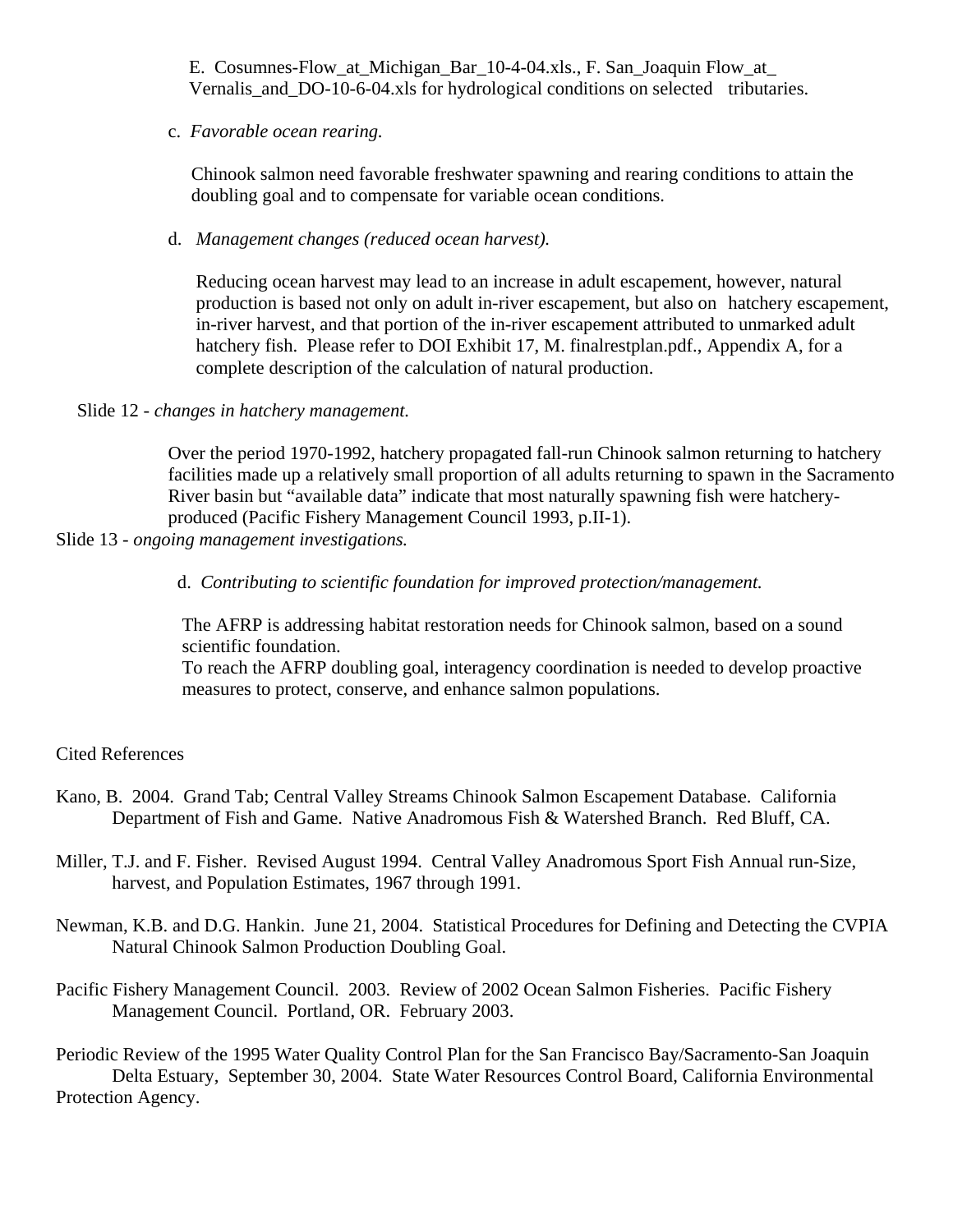E. Cosumnes-Flow\_at\_Michigan\_Bar\_10-4-04.xls., F. San\_Joaquin Flow\_at\_ Vernalis and DO-10-6-04.xls for hydrological conditions on selected tributaries.

#### c. *Favorable ocean rearing.*

Chinook salmon need favorable freshwater spawning and rearing conditions to attain the doubling goal and to compensate for variable ocean conditions.

## d. *Management changes (reduced ocean harvest).*

Reducing ocean harvest may lead to an increase in adult escapement, however, natural production is based not only on adult in-river escapement, but also on hatchery escapement, in-river harvest, and that portion of the in-river escapement attributed to unmarked adult hatchery fish. Please refer to DOI Exhibit 17, M. finalrestplan.pdf., Appendix A, for a complete description of the calculation of natural production.

### Slide 12 - *changes in hatchery management.*

Over the period 1970-1992, hatchery propagated fall-run Chinook salmon returning to hatchery facilities made up a relatively small proportion of all adults returning to spawn in the Sacramento River basin but "available data" indicate that most naturally spawning fish were hatcheryproduced (Pacific Fishery Management Council 1993, p.II-1).

### Slide 13 - *ongoing management investigations.*

d. *Contributing to scientific foundation for improved protection/management.*

The AFRP is addressing habitat restoration needs for Chinook salmon, based on a sound scientific foundation.

To reach the AFRP doubling goal, interagency coordination is needed to develop proactive measures to protect, conserve, and enhance salmon populations.

# Cited References

- Kano, B. 2004. Grand Tab; Central Valley Streams Chinook Salmon Escapement Database. California Department of Fish and Game. Native Anadromous Fish & Watershed Branch. Red Bluff, CA.
- Miller, T.J. and F. Fisher. Revised August 1994. Central Valley Anadromous Sport Fish Annual run-Size, harvest, and Population Estimates, 1967 through 1991.
- Newman, K.B. and D.G. Hankin. June 21, 2004. Statistical Procedures for Defining and Detecting the CVPIA Natural Chinook Salmon Production Doubling Goal.
- Pacific Fishery Management Council. 2003. Review of 2002 Ocean Salmon Fisheries. Pacific Fishery Management Council. Portland, OR. February 2003.

Periodic Review of the 1995 Water Quality Control Plan for the San Francisco Bay/Sacramento-San Joaquin Delta Estuary, September 30, 2004. State Water Resources Control Board, California Environmental Protection Agency.